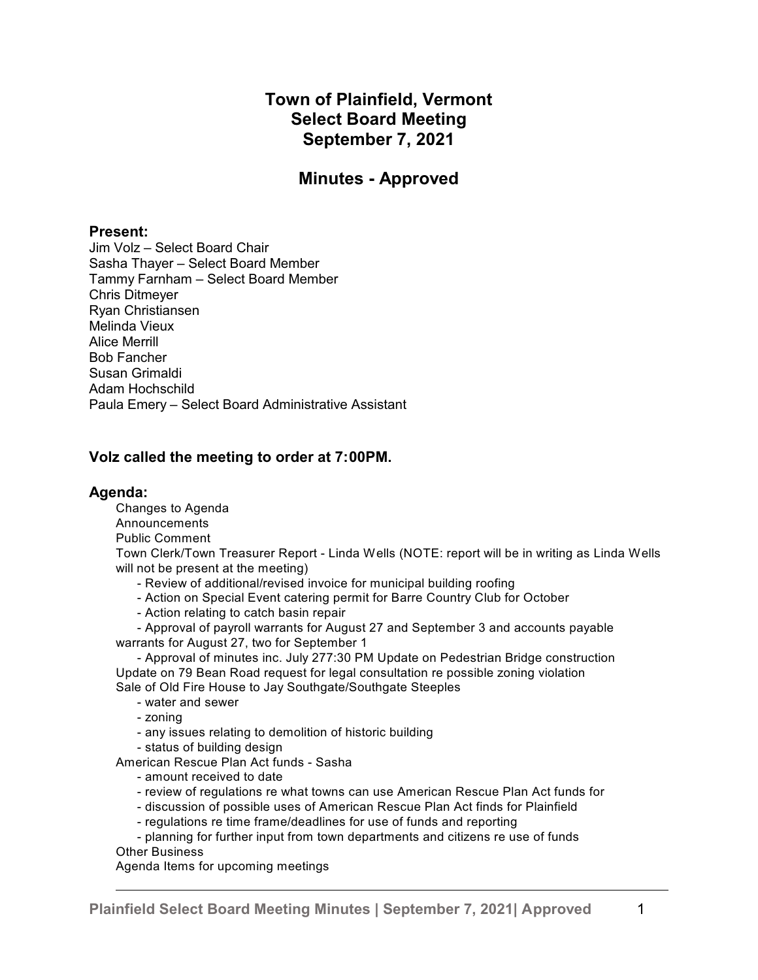# **Town of Plainfield, Vermont Select Board Meeting September 7, 2021**

# **Minutes - Approved**

## **Present:**

Jim Volz – Select Board Chair Sasha Thayer – Select Board Member Tammy Farnham – Select Board Member Chris Ditmeyer Ryan Christiansen Melinda Vieux Alice Merrill Bob Fancher Susan Grimaldi Adam Hochschild Paula Emery – Select Board Administrative Assistant

# **Volz called the meeting to order at 7:00PM.**

## **Agenda:**

Changes to Agenda

**Announcements** 

Public Comment

Town Clerk/Town Treasurer Report - Linda Wells (NOTE: report will be in writing as Linda Wells will not be present at the meeting)

- Review of additional/revised invoice for municipal building roofing
- Action on Special Event catering permit for Barre Country Club for October
- Action relating to catch basin repair

- Approval of payroll warrants for August 27 and September 3 and accounts payable warrants for August 27, two for September 1

- Approval of minutes inc. July 277:30 PM Update on Pedestrian Bridge construction Update on 79 Bean Road request for legal consultation re possible zoning violation Sale of Old Fire House to Jay Southgate/Southgate Steeples

- water and sewer

- zoning

- any issues relating to demolition of historic building
- status of building design

American Rescue Plan Act funds - Sasha

- amount received to date
- review of regulations re what towns can use American Rescue Plan Act funds for
- discussion of possible uses of American Rescue Plan Act finds for Plainfield
- regulations re time frame/deadlines for use of funds and reporting

- planning for further input from town departments and citizens re use of funds

Other Business

Agenda Items for upcoming meetings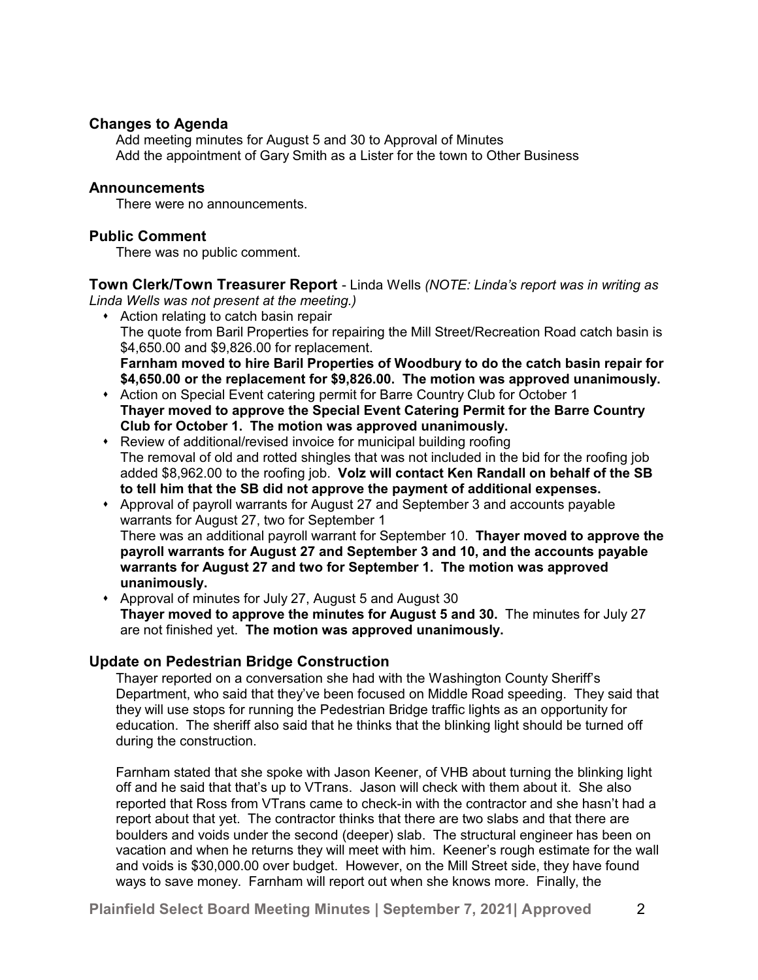## **Changes to Agenda**

Add meeting minutes for August 5 and 30 to Approval of Minutes Add the appointment of Gary Smith as a Lister for the town to Other Business

### **Announcements**

There were no announcements.

## **Public Comment**

There was no public comment.

**Town Clerk/Town Treasurer Report** - Linda Wells *(NOTE: Linda's report was in writing as Linda Wells was not present at the meeting.)*

- $\triangle$  Action relating to catch basin repair The quote from Baril Properties for repairing the Mill Street/Recreation Road catch basin is \$4,650.00 and \$9,826.00 for replacement. **Farnham moved to hire Baril Properties of Woodbury to do the catch basin repair for \$4,650.00 or the replacement for \$9,826.00. The motion was approved unanimously.**
- \* Action on Special Event catering permit for Barre Country Club for October 1 **Thayer moved to approve the Special Event Catering Permit for the Barre Country Club for October 1. The motion was approved unanimously.**
- Review of additional/revised invoice for municipal building roofing The removal of old and rotted shingles that was not included in the bid for the roofing job added \$8,962.00 to the roofing job. **Volz will contact Ken Randall on behalf of the SB to tell him that the SB did not approve the payment of additional expenses.**
- Approval of payroll warrants for August 27 and September 3 and accounts payable warrants for August 27, two for September 1 There was an additional payroll warrant for September 10. **Thayer moved to approve the payroll warrants for August 27 and September 3 and 10, and the accounts payable warrants for August 27 and two for September 1. The motion was approved unanimously.**
- Approval of minutes for July 27, August 5 and August 30 **Thayer moved to approve the minutes for August 5 and 30.** The minutes for July 27 are not finished yet. **The motion was approved unanimously.**

# **Update on Pedestrian Bridge Construction**

Thayer reported on a conversation she had with the Washington County Sheriff's Department, who said that they've been focused on Middle Road speeding. They said that they will use stops for running the Pedestrian Bridge traffic lights as an opportunity for education. The sheriff also said that he thinks that the blinking light should be turned off during the construction.

Farnham stated that she spoke with Jason Keener, of VHB about turning the blinking light off and he said that that's up to VTrans. Jason will check with them about it. She also reported that Ross from VTrans came to check-in with the contractor and she hasn't had a report about that yet. The contractor thinks that there are two slabs and that there are boulders and voids under the second (deeper) slab. The structural engineer has been on vacation and when he returns they will meet with him. Keener's rough estimate for the wall and voids is \$30,000.00 over budget. However, on the Mill Street side, they have found ways to save money. Farnham will report out when she knows more. Finally, the

**Plainfield Select Board Meeting Minutes | September 7, 2021| Approved** 2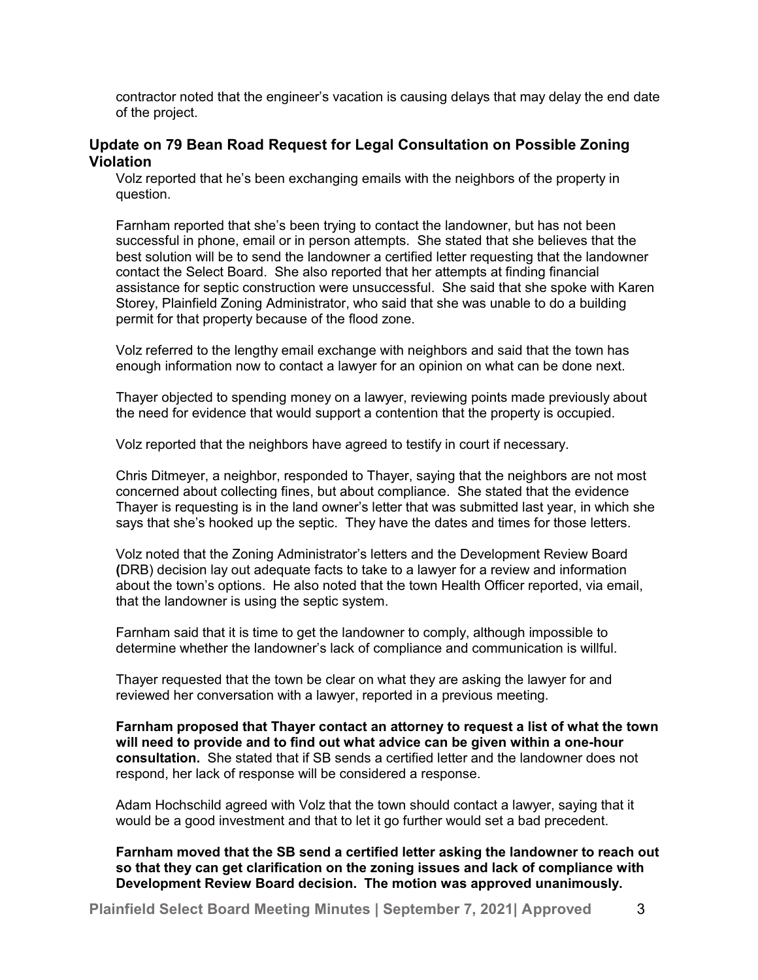contractor noted that the engineer's vacation is causing delays that may delay the end date of the project.

## **Update on 79 Bean Road Request for Legal Consultation on Possible Zoning Violation**

Volz reported that he's been exchanging emails with the neighbors of the property in question.

Farnham reported that she's been trying to contact the landowner, but has not been successful in phone, email or in person attempts. She stated that she believes that the best solution will be to send the landowner a certified letter requesting that the landowner contact the Select Board. She also reported that her attempts at finding financial assistance for septic construction were unsuccessful. She said that she spoke with Karen Storey, Plainfield Zoning Administrator, who said that she was unable to do a building permit for that property because of the flood zone.

Volz referred to the lengthy email exchange with neighbors and said that the town has enough information now to contact a lawyer for an opinion on what can be done next.

Thayer objected to spending money on a lawyer, reviewing points made previously about the need for evidence that would support a contention that the property is occupied.

Volz reported that the neighbors have agreed to testify in court if necessary.

Chris Ditmeyer, a neighbor, responded to Thayer, saying that the neighbors are not most concerned about collecting fines, but about compliance. She stated that the evidence Thayer is requesting is in the land owner's letter that was submitted last year, in which she says that she's hooked up the septic. They have the dates and times for those letters.

Volz noted that the Zoning Administrator's letters and the Development Review Board **(**DRB) decision lay out adequate facts to take to a lawyer for a review and information about the town's options. He also noted that the town Health Officer reported, via email, that the landowner is using the septic system.

Farnham said that it is time to get the landowner to comply, although impossible to determine whether the landowner's lack of compliance and communication is willful.

Thayer requested that the town be clear on what they are asking the lawyer for and reviewed her conversation with a lawyer, reported in a previous meeting.

**Farnham proposed that Thayer contact an attorney to request a list of what the town will need to provide and to find out what advice can be given within a one-hour consultation.** She stated that if SB sends a certified letter and the landowner does not respond, her lack of response will be considered a response.

Adam Hochschild agreed with Volz that the town should contact a lawyer, saying that it would be a good investment and that to let it go further would set a bad precedent.

**Farnham moved that the SB send a certified letter asking the landowner to reach out so that they can get clarification on the zoning issues and lack of compliance with Development Review Board decision. The motion was approved unanimously.**

**Plainfield Select Board Meeting Minutes | September 7, 2021| Approved** 3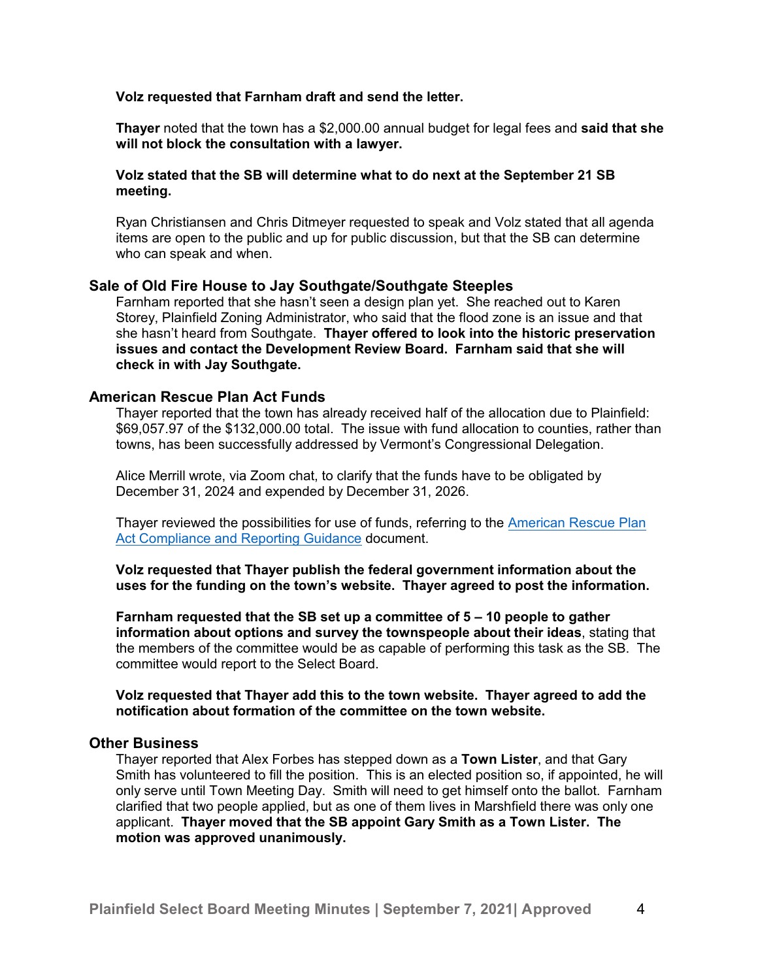#### **Volz requested that Farnham draft and send the letter.**

**Thayer** noted that the town has a \$2,000.00 annual budget for legal fees and **said that she will not block the consultation with a lawyer.**

#### **Volz stated that the SB will determine what to do next at the September 21 SB meeting.**

Ryan Christiansen and Chris Ditmeyer requested to speak and Volz stated that all agenda items are open to the public and up for public discussion, but that the SB can determine who can speak and when.

#### **Sale of Old Fire House to Jay Southgate/Southgate Steeples**

Farnham reported that she hasn't seen a design plan yet. She reached out to Karen Storey, Plainfield Zoning Administrator, who said that the flood zone is an issue and that she hasn't heard from Southgate. **Thayer offered to look into the historic preservation issues and contact the Development Review Board. Farnham said that she will check in with Jay Southgate.**

### **American Rescue Plan Act Funds**

Thayer reported that the town has already received half of the allocation due to Plainfield: \$69,057.97 of the \$132,000.00 total. The issue with fund allocation to counties, rather than towns, has been successfully addressed by Vermont's Congressional Delegation.

Alice Merrill wrote, via Zoom chat, to clarify that the funds have to be obligated by December 31, 2024 and expended by December 31, 2026.

Thayer reviewed the possibilities for use of funds, referring to the [American Rescue Plan](https://home.treasury.gov/system/files/136/SLFRF-Compliance-and-Reporting-Guidanc) Act [Compliance and Reporting Guidance](https://home.treasury.gov/system/files/136/SLFRF-Compliance-and-Reporting-Guidanc) document.

**Volz requested that Thayer publish the federal government information about the uses for the funding on the town's website. Thayer agreed to post the information.**

**Farnham requested that the SB set up a committee of 5 – 10 people to gather information about options and survey the townspeople about their ideas**, stating that the members of the committee would be as capable of performing this task as the SB. The committee would report to the Select Board.

**Volz requested that Thayer add this to the town website. Thayer agreed to add the notification about formation of the committee on the town website.**

#### **Other Business**

Thayer reported that Alex Forbes has stepped down as a **Town Lister**, and that Gary Smith has volunteered to fill the position. This is an elected position so, if appointed, he will only serve until Town Meeting Day. Smith will need to get himself onto the ballot. Farnham clarified that two people applied, but as one of them lives in Marshfield there was only one applicant. **Thayer moved that the SB appoint Gary Smith as a Town Lister. The motion was approved unanimously.**